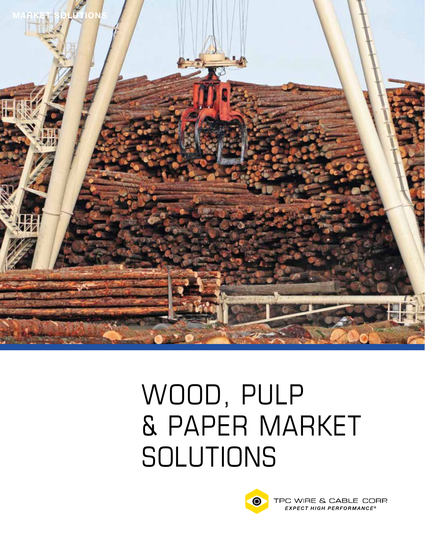

# Wood, Pulp & Paper Market **SOLUTIONS**



TPC WIRE & CABLE CORP. **EXPECT HIGH PERFORMANCE®**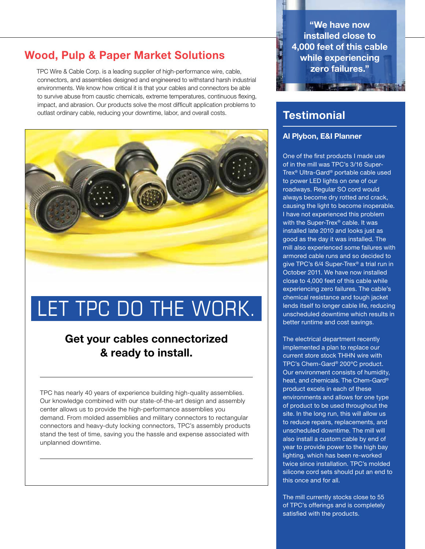## Wood, Pulp & Paper Market Solutions

TPC Wire & Cable Corp. is a leading supplier of high-performance wire, cable, connectors, and assemblies designed and engineered to withstand harsh industrial environments. We know how critical it is that your cables and connectors be able to survive abuse from caustic chemicals, extreme temperatures, continuous flexing, impact, and abrasion. Our products solve the most difficult application problems to outlast ordinary cable, reducing your downtime, labor, and overall costs.



## LET TPC DO THE WORK.

## Get your cables connectorized & ready to install.

TPC has nearly 40 years of experience building high-quality assemblies. Our knowledge combined with our state-of-the-art design and assembly center allows us to provide the high-performance assemblies you demand. From molded assemblies and military connectors to rectangular connectors and heavy-duty locking connectors, TPC's assembly products stand the test of time, saving you the hassle and expense associated with unplanned downtime.

"We have now installed close to 4,000 feet of this cable while experiencing zero failures."

**The Committee of the Committee of the Committee of the Committee of the Committee of the Committee of the Committee** 

## **Testimonial**

#### Al Plybon, E&I Planner

One of the first products I made use of in the mill was TPC's 3/16 Super-Trex® Ultra-Gard® portable cable used to power LED lights on one of our roadways. Regular SO cord would always become dry rotted and crack, causing the light to become inoperable. I have not experienced this problem with the Super-Trex<sup>®</sup> cable. It was installed late 2010 and looks just as good as the day it was installed. The mill also experienced some failures with armored cable runs and so decided to give TPC's 6/4 Super-Trex® a trial run in October 2011. We have now installed close to 4,000 feet of this cable while experiencing zero failures. The cable's chemical resistance and tough jacket lends itself to longer cable life, reducing unscheduled downtime which results in better runtime and cost savings.

The electrical department recently implemented a plan to replace our current store stock THHN wire with TPC's Chem-Gard® 200ºC product. Our environment consists of humidity, heat, and chemicals. The Chem-Gard® product excels in each of these environments and allows for one type of product to be used throughout the site. In the long run, this will allow us to reduce repairs, replacements, and unscheduled downtime. The mill will also install a custom cable by end of year to provide power to the high bay lighting, which has been re-worked twice since installation. TPC's molded silicone cord sets should put an end to this once and for all.

The mill currently stocks close to 55 of TPC's offerings and is completely satisfied with the products.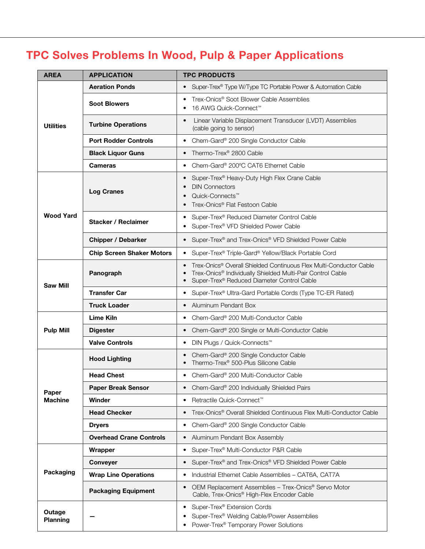## TPC Solves Problems In Wood, Pulp & Paper Applications

| <b>AREA</b>               | <b>APPLICATION</b>               | <b>TPC PRODUCTS</b>                                                                                                                                                                                                                           |  |  |
|---------------------------|----------------------------------|-----------------------------------------------------------------------------------------------------------------------------------------------------------------------------------------------------------------------------------------------|--|--|
| <b>Utilities</b>          | <b>Aeration Ponds</b>            | Super-Trex® Type W/Type TC Portable Power & Automation Cable<br>$\bullet$                                                                                                                                                                     |  |  |
|                           | <b>Soot Blowers</b>              | Trex-Onics <sup>®</sup> Soot Blower Cable Assemblies<br>$\bullet$<br>16 AWG Quick-Connect™                                                                                                                                                    |  |  |
|                           | <b>Turbine Operations</b>        | Linear Variable Displacement Transducer (LVDT) Assemblies<br>$\bullet$<br>(cable going to sensor)                                                                                                                                             |  |  |
|                           | <b>Port Rodder Controls</b>      | Chem-Gard® 200 Single Conductor Cable<br>$\bullet$                                                                                                                                                                                            |  |  |
|                           | <b>Black Liquor Guns</b>         | Thermo-Trex® 2800 Cable<br>$\bullet$                                                                                                                                                                                                          |  |  |
|                           | <b>Cameras</b>                   | Chem-Gard® 200°C CAT6 Ethernet Cable<br>$\bullet$                                                                                                                                                                                             |  |  |
| <b>Wood Yard</b>          | Log Cranes                       | Super-Trex® Heavy-Duty High Flex Crane Cable<br>$\bullet$<br><b>DIN Connectors</b><br>$\bullet$<br>Quick-Connects <sup>™</sup><br>$\bullet$<br>Trex-Onics <sup>®</sup> Flat Festoon Cable<br>$\bullet$                                        |  |  |
|                           | <b>Stacker / Reclaimer</b>       | Super-Trex® Reduced Diameter Control Cable<br>٠<br>Super-Trex® VFD Shielded Power Cable<br>$\bullet$                                                                                                                                          |  |  |
|                           | <b>Chipper / Debarker</b>        | Super-Trex® and Trex-Onics® VFD Shielded Power Cable<br>$\bullet$                                                                                                                                                                             |  |  |
|                           | <b>Chip Screen Shaker Motors</b> | Super-Trex <sup>®</sup> Triple-Gard <sup>®</sup> Yellow/Black Portable Cord<br>$\bullet$                                                                                                                                                      |  |  |
| <b>Saw Mill</b>           | Panograph                        | Trex-Onics <sup>®</sup> Overall Shielded Continuous Flex Multi-Conductor Cable<br>$\bullet$<br>Trex-Onics <sup>®</sup> Individually Shielded Multi-Pair Control Cable<br>$\bullet$<br>Super-Trex® Reduced Diameter Control Cable<br>$\bullet$ |  |  |
|                           | <b>Transfer Car</b>              | Super-Trex <sup>®</sup> Ultra-Gard Portable Cords (Type TC-ER Rated)<br>٠                                                                                                                                                                     |  |  |
|                           | <b>Truck Loader</b>              | Aluminum Pendant Box<br>$\bullet$                                                                                                                                                                                                             |  |  |
|                           | <b>Lime Kiln</b>                 | Chem-Gard® 200 Multi-Conductor Cable<br>٠                                                                                                                                                                                                     |  |  |
| <b>Pulp Mill</b>          | <b>Digester</b>                  | Chem-Gard® 200 Single or Multi-Conductor Cable<br>$\bullet$                                                                                                                                                                                   |  |  |
|                           | <b>Valve Controls</b>            | DIN Plugs / Quick-Connects <sup>™</sup><br>$\bullet$                                                                                                                                                                                          |  |  |
|                           | <b>Hood Lighting</b>             | Chem-Gard® 200 Single Conductor Cable<br>$\bullet$<br>Thermo-Trex® 500-Plus Silicone Cable<br>$\bullet$                                                                                                                                       |  |  |
|                           | <b>Head Chest</b>                | Chem-Gard® 200 Multi-Conductor Cable<br>٠                                                                                                                                                                                                     |  |  |
| Paper                     | <b>Paper Break Sensor</b>        | Chem-Gard® 200 Individually Shielded Pairs<br>$\bullet$                                                                                                                                                                                       |  |  |
| <b>Machine</b>            | Winder                           | Retractile Quick-Connect <sup>™</sup><br>$\bullet$                                                                                                                                                                                            |  |  |
|                           | <b>Head Checker</b>              | Trex-Onics <sup>®</sup> Overall Shielded Continuous Flex Multi-Conductor Cable<br>$\bullet$                                                                                                                                                   |  |  |
|                           | <b>Dryers</b>                    | Chem-Gard® 200 Single Conductor Cable<br>$\bullet$                                                                                                                                                                                            |  |  |
|                           | <b>Overhead Crane Controls</b>   | Aluminum Pendant Box Assembly<br>$\bullet$                                                                                                                                                                                                    |  |  |
| Packaging                 | Wrapper                          | Super-Trex® Multi-Conductor P&R Cable<br>$\bullet$                                                                                                                                                                                            |  |  |
|                           | <b>Conveyer</b>                  | Super-Trex® and Trex-Onics® VFD Shielded Power Cable<br>$\bullet$                                                                                                                                                                             |  |  |
|                           | <b>Wrap Line Operations</b>      | Industrial Ethernet Cable Assemblies - CAT6A, CAT7A<br>$\bullet$                                                                                                                                                                              |  |  |
|                           | <b>Packaging Equipment</b>       | OEM Replacement Assemblies - Trex-Onics® Servo Motor<br>$\bullet$<br>Cable, Trex-Onics® High-Flex Encoder Cable                                                                                                                               |  |  |
| Outage<br><b>Planning</b> |                                  | Super-Trex® Extension Cords<br>$\bullet$<br>Super-Trex <sup>®</sup> Welding Cable/Power Assemblies<br>$\bullet$<br>Power-Trex <sup>®</sup> Temporary Power Solutions                                                                          |  |  |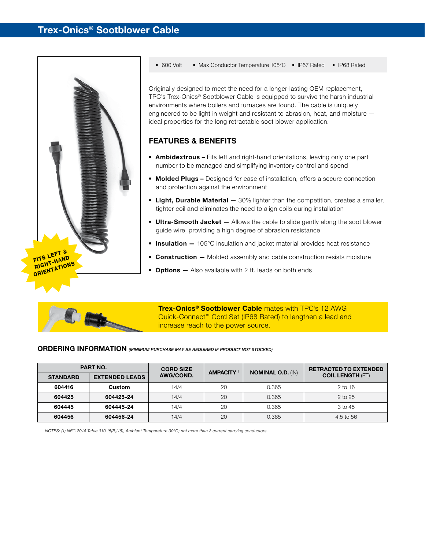

• 600 Volt • Max Conductor Temperature 105°C • IP67 Rated • IP68 Rated

Originally designed to meet the need for a longer-lasting OEM replacement, TPC's Trex-Onics® Sootblower Cable is equipped to survive the harsh industrial environments where boilers and furnaces are found. The cable is uniquely engineered to be light in weight and resistant to abrasion, heat, and moisture ideal properties for the long retractable soot blower application.

#### Features & Benefits

- Ambidextrous Fits left and right-hand orientations, leaving only one part number to be managed and simplifying inventory control and spend
- Molded Plugs Designed for ease of installation, offers a secure connection and protection against the environment
- Light, Durable Material 30% lighter than the competition, creates a smaller, tighter coil and eliminates the need to align coils during installation
- Ultra-Smooth Jacket Allows the cable to slide gently along the soot blower guide wire, providing a high degree of abrasion resistance
- Insulation 105°C insulation and jacket material provides heat resistance
- Construction Molded assembly and cable construction resists moisture
- Options Also available with 2 ft. leads on both ends



Trex-Onics<sup>®</sup> Sootblower Cable mates with TPC's 12 AWG Quick-Connect<sup>™</sup> Cord Set (IP68 Rated) to lengthen a lead and increase reach to the power source.

#### ordering information *(MINIMUM PURCHASE MAY BE REQUIRED IF PRODUCT NOT STOCKED)*

| <b>PART NO.</b> |                       | <b>CORD SIZE</b> | <b>AMPACITY</b> <sup>1</sup> |                          | <b>RETRACTED TO EXTENDED</b> |
|-----------------|-----------------------|------------------|------------------------------|--------------------------|------------------------------|
| <b>STANDARD</b> | <b>EXTENDED LEADS</b> | AWG/COND.        |                              | <b>NOMINAL O.D. (IN)</b> | <b>COIL LENGTH (FT)</b>      |
| 604416          | Custom                | 14/4             | 20                           | 0.365                    | $2$ to 16                    |
| 604425          | 604425-24             | 14/4             | 20                           | 0.365                    | $2$ to $25$                  |
| 604445          | 604445-24             | 14/4             | 20                           | 0.365                    | 3 to 45                      |
| 604456          | 604456-24             | 14/4             | 20                           | 0.365                    | 4.5 to 56                    |

*NOTES: (1) NEC 2014 Table 310.15(B)(16); Ambient Temperature 30°C; not more than 3 current carrying conductors.*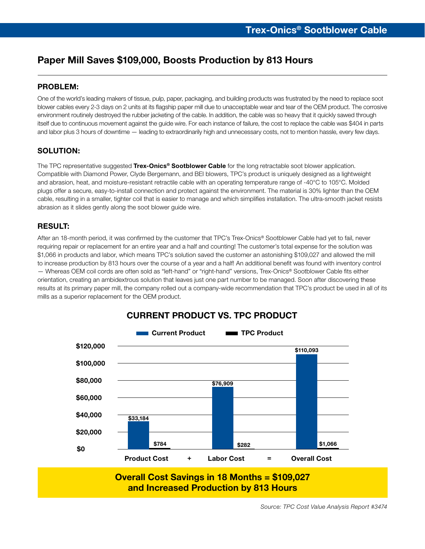## Paper Mill Saves \$109,000, Boosts Production by 813 Hours

#### Problem:

One of the world's leading makers of tissue, pulp, paper, packaging, and building products was frustrated by the need to replace soot blower cables every 2-3 days on 2 units at its flagship paper mill due to unacceptable wear and tear of the OEM product. The corrosive environment routinely destroyed the rubber jacketing of the cable. In addition, the cable was so heavy that it quickly sawed through itself due to continuous movement against the guide wire. For each instance of failure, the cost to replace the cable was \$404 in parts and labor plus 3 hours of downtime — leading to extraordinarily high and unnecessary costs, not to mention hassle, every few days.

#### SOLUTION:

The TPC representative suggested Trex-Onics<sup>®</sup> Sootblower Cable for the long retractable soot blower application. Compatible with Diamond Power, Clyde Bergemann, and BEI blowers, TPC's product is uniquely designed as a lightweight and abrasion, heat, and moisture-resistant retractile cable with an operating temperature range of -40°C to 105°C. Molded plugs offer a secure, easy-to-install connection and protect against the environment. The material is 30% lighter than the OEM cable, resulting in a smaller, tighter coil that is easier to manage and which simplifies installation. The ultra-smooth jacket resists abrasion as it slides gently along the soot blower guide wire.

#### Result:

After an 18-month period, it was confirmed by the customer that TPC's Trex-Onics® Sootblower Cable had yet to fail, never requiring repair or replacement for an entire year and a half and counting! The customer's total expense for the solution was \$1,066 in products and labor, which means TPC's solution saved the customer an astonishing \$109,027 and allowed the mill to increase production by 813 hours over the course of a year and a half! An additional benefit was found with inventory control — Whereas OEM coil cords are often sold as "left-hand" or "right-hand" versions, Trex-Onics® Sootblower Cable fits either orientation, creating an ambidextrous solution that leaves just one part number to be managed. Soon after discovering these results at its primary paper mill, the company rolled out a company-wide recommendation that TPC's product be used in all of its mills as a superior replacement for the OEM product.



#### **CURRENT PRODUCT VS. TPC PRODUCT**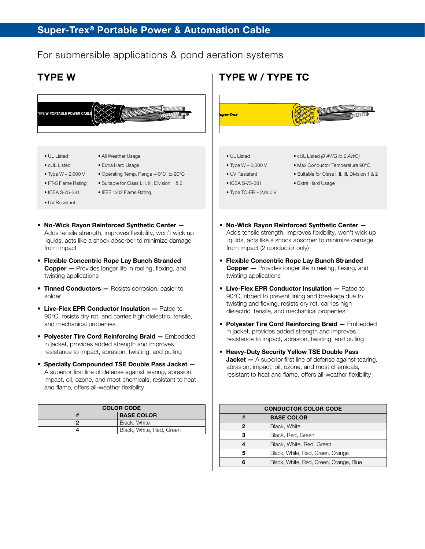### For submersible applications & pond aeration systems



 A superior first line of defense against tearing, abrasion, impact, oil, ozone, and most chemicals, resistant to heat and flame, offers all-weather flexibility

| <b>COLOR CODE</b> |                          |  |  |
|-------------------|--------------------------|--|--|
|                   | <b>BASE COLOR</b>        |  |  |
|                   | Black, White             |  |  |
|                   | Black, White, Red, Green |  |  |

Conductor Color Code # BASE Color 2 | Black, White 3 Black, Red, Green 4 Black, White, Red, Green 5 Black, White, Red, Green, Orange 6 Black, White, Red, Green, Orange, Blue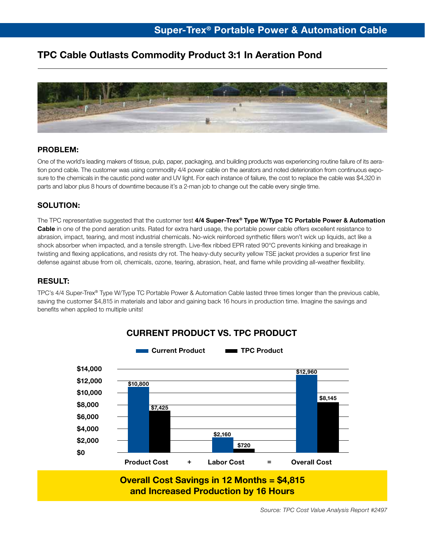## TPC Cable Outlasts Commodity Product 3:1 In Aeration Pond



#### Problem:

One of the world's leading makers of tissue, pulp, paper, packaging, and building products was experiencing routine failure of its aeration pond cable. The customer was using commodity 4/4 power cable on the aerators and noted deterioration from continuous exposure to the chemicals in the caustic pond water and UV light. For each instance of failure, the cost to replace the cable was \$4,320 in parts and labor plus 8 hours of downtime because it's a 2-man job to change out the cable every single time.

#### SOLUTION:

The TPC representative suggested that the customer test 4/4 Super-Trex® Type W/Type TC Portable Power & Automation Cable in one of the pond aeration units. Rated for extra hard usage, the portable power cable offers excellent resistance to abrasion, impact, tearing, and most industrial chemicals. No-wick reinforced synthetic fillers won't wick up liquids, act like a shock absorber when impacted, and a tensile strength. Live-flex ribbed EPR rated 90°C prevents kinking and breakage in twisting and flexing applications, and resists dry rot. The heavy-duty security yellow TSE jacket provides a superior first line defense against abuse from oil, chemicals, ozone, tearing, abrasion, heat, and flame while providing all-weather flexibility.

#### Result:

TPC's 4/4 Super-Trex® Type W/Type TC Portable Power & Automation Cable lasted three times longer than the previous cable, saving the customer \$4,815 in materials and labor and gaining back 16 hours in production time. Imagine the savings and benefits when applied to multiple units!



## **CURRENT PRODUCT VS. TPC PRODUCT**